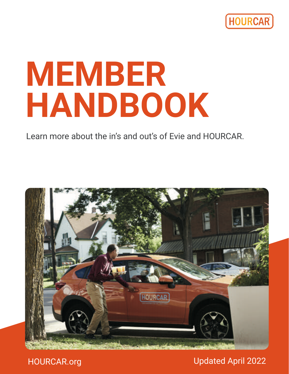

# **MEMBER HANDBOOK**

Learn more about the in's and out's of Evie and HOURCAR.



HOURCAR.org

Updated April 2022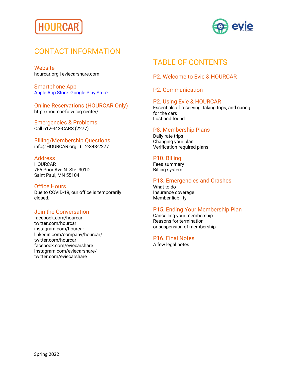



## CONTACT INFORMATION

**Website** hourcar.org | eviecarshare.com

Smartphone App Apple App Store Google Play Store

Online Reservations (HOURCAR Only) http://hourcar-fo.vulog.center/

Emergencies & Problems Call 612-343-CARS (2277)

Billing/Membership Questions info@HOURCAR.org | 612-343-2277

#### Address

**HOURCAR** 755 Prior Ave N. Ste. 301D Saint Paul, MN 55104

#### Office Hours

Due to COVID-19, our office is temporarily closed.

#### Join the Conversation

facebook.com/hourcar twitter.com/hourcar instagram.com/hourcar linkedin.com/company/hourcar/ twitter.com/hourcar facebook.com/eviecarshare instagram.com/eviecarshare/ twitter.com/eviecarshare

# TABLE OF CONTENTS

P2. Welcome to Evie & HOURCAR

P2. Communication

#### P2. Using Evie & HOURCAR

Essentials of reserving, taking trips, and caring for the cars Lost and found

#### P8. Membership Plans

Daily rate trips Changing your plan Verification-required plans

#### P10. Billing

Fees summary Billing system

#### P13. Emergencies and Crashes

What to do Insurance coverage Member liability

#### P15. Ending Your Membership Plan

Cancelling your membership Reasons for termination or suspension of membership

P16. Final Notes

A few legal notes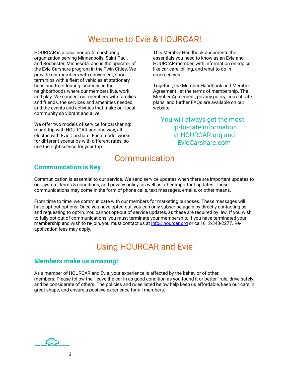# Welcome to Evie & HOURCAR!

HOURCAR is a local nonprofit carsharing organization serving Minneapolis, Saint Paul, and Rochester, Minnesota, and is the operator of the Evie Carshare program in the Twin Cities. We provide our members with convenient, shortterm trips with a fleet of vehicles at stationary hubs and free-floating locations in the neighborhoods where our members live, work, and play. We connect our members with families and friends, the services and amenities needed, and the events and activities that make our local community so vibrant and alive.

We offer two models of service for carsharing: round-trip with HOURCAR and one-way, allelectric with Evie Carshare. Each model works for different scenarios with different rates, so use the right service for your trip.

This Member Handbook documents the essentials you need to know as an Evie and HOURCAR member, with information on topics like car care, billing, and what to do in emergencies.

Together, the Member Handbook and Member Agreement list the terms of membership. The Member Agreement, privacy policy, current rate plans, and further FAQs are available on our website.

You will always get the most up-to-date information at HOURCAR.org and EvieCarshare.com

## Communication

## **Communication is Key**

Communication is essential to our service. We send service updates when there are important updates to our system, terms & conditions, and privacy policy, as well as other important updates. These communications may come in the form of phone calls, text messages, emails, or other means.

From time to time, we communicate with our members for marketing purposes. These messages will have opt-out options. Once you have opted-out, you can only subscribe again by directly contacting us and requesting to opt-in. You cannot opt-out of service updates, as these are required by law. If you wish to fully opt-out of communications, you must terminate your membership. If you have terminated your membership and wish to re-join, you must contact us at info@hourcar.org or call 612-343-2277. Reapplication fees may apply.

# Using HOURCAR and Evie

#### **Members make us amazing!**

As a member of HOURCAR and Evie, your experience is affected by the behavior of other members. Please follow the "leave the car in as good condition as you found it or better" rule, drive safely, and be considerate of others. The policies and rules listed below help keep us affordable, keep our cars in great shape, and ensure a positive experience for all members.

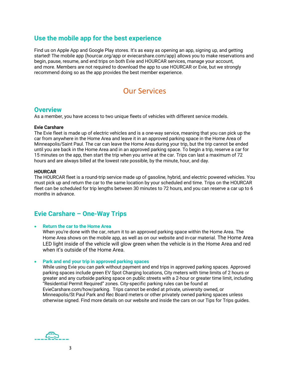## **Use the mobile app for the best experience**

Find us on Apple App and Google Play stores. It's as easy as opening an app, signing up, and getting started! The mobile app (hourcar.org/app or eviecarshare.com/app) allows you to make reservations and begin, pause, resume, and end trips on both Evie and HOURCAR services, manage your account, and more. Members are not required to download the app to use HOURCAR or Evie, but we strongly recommend doing so as the app provides the best member experience.

## Our Services

### **Overview**

As a member, you have access to two unique fleets of vehicles with different service models.

#### **Evie Carshare**

The Evie fleet is made up of electric vehicles and is a one-way service, meaning that you can pick up the car from anywhere in the Home Area and leave it in an approved parking space in the Home Area of Minneapolis/Saint Paul. The car can leave the Home Area during your trip, but the trip cannot be ended until you are back in the Home Area and in an approved parking space. To begin a trip, reserve a car for 15 minutes on the app, then start the trip when you arrive at the car. Trips can last a maximum of 72 hours and are always billed at the lowest rate possible, by the minute, hour, and day.

#### **HOURCAR**

The HOURCAR fleet is a round-trip service made up of gasoline, hybrid, and electric powered vehicles. You must pick up and return the car to the same location by your scheduled end time. Trips on the HOURCAR fleet can be scheduled for trip lengths between 30 minutes to 72 hours, and you can reserve a car up to 6 months in advance.

## **Evie Carshare – One-Way Trips**

#### • **Return the car to the Home Area**

When you're done with the car, return it to an approved parking space within the Home Area. The Home Area shows on the mobile app, as well as on our website and in-car material. The Home Area LED light inside of the vehicle will glow green when the vehicle is in the Home Area and red when it's outside of the Home Area.

#### • **Park and end your trip in approved parking spaces**

While using Evie you can park without payment and end trips in approved parking spaces. Approved parking spaces include green EV Spot Charging locations, City meters with time limits of 2 hours or greater and any curbside parking space on public streets with a 2-hour or greater time limit, including "Residential Permit Required" zones. City-specific parking rules can be found at EvieCarshare.com/how/parking. Trips cannot be ended at private, university owned, or Minneapolis/St Paul Park and Rec Board meters or other privately owned parking spaces unless otherwise signed. Find more details on our website and inside the cars on our Tips for Trips guides.

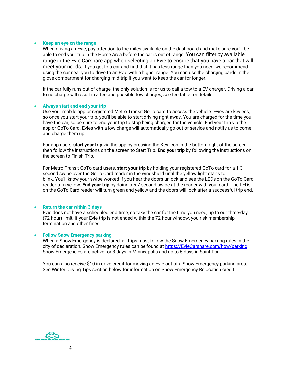#### • **Keep an eye on the range**

When driving an Evie, pay attention to the miles available on the dashboard and make sure you'll be able to end your trip in the Home Area before the car is out of range. You can filter by available range in the Evie Carshare app when selecting an Evie to ensure that you have a car that will meet your needs. If you get to a car and find that it has less range than you need, we recommend using the car near you to drive to an Evie with a higher range. You can use the charging cards in the glove compartment for charging mid-trip if you want to keep the car for longer.

If the car fully runs out of charge, the only solution is for us to call a tow to a EV charger. Driving a car to no charge will result in a fee and possible tow charges, see fee table for details.

#### • **Always start and end your trip**

Use your mobile app or registered Metro Transit GoTo card to access the vehicle. Evies are keyless, so once you start your trip, you'll be able to start driving right away. You are charged for the time you have the car, so be sure to end your trip to stop being charged for the vehicle. End your trip via the app or GoTo Card. Evies with a low charge will automatically go out of service and notify us to come and charge them up.

For app users, **start your trip** via the app by pressing the Key icon in the bottom right of the screen, then follow the instructions on the screen to Start Trip. **End your trip** by following the instructions on the screen to Finish Trip.

For Metro Transit GoTo card users, **start your trip** by holding your registered GoTo card for a 1-3 second swipe over the GoTo Card reader in the windshield until the yellow light starts to blink. You'll know your swipe worked if you hear the doors unlock and see the LEDs on the GoTo Card reader turn yellow. **End your trip** by doing a 5-7 second swipe at the reader with your card. The LEDs on the GoTo Card reader will turn green and yellow and the doors will lock after a successful trip end.

#### • **Return the car within 3 days**

Evie does not have a scheduled end time, so take the car for the time you need, up to our three-day (72-hour) limit. If your Evie trip is not ended within the 72-hour window, you risk membership termination and other fines.

#### • **Follow Snow Emergency parking**

When a Snow Emergency is declared, all trips must follow the Snow Emergency parking rules in the city of declaration. Snow Emergency rules can be found at https://EvieCarshare.com/how/parking. Snow Emergencies are active for 3 days in Minneapolis and up to 5 days in Saint Paul.

You can also receive \$10 in drive credit for moving an Evie out of a Snow Emergency parking area. See Winter Driving Tips section below for information on Snow Emergency Relocation credit.

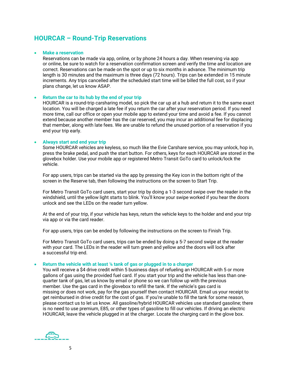## **HOURCAR – Round-Trip Reservations**

#### • **Make a reservation**

Reservations can be made via app, online, or by phone 24 hours a day. When reserving via app or online, be sure to watch for a reservation confirmation screen and verify the time and location are correct. Reservations can be made on the spot or up to six months in advance. The minimum trip length is 30 minutes and the maximum is three days (72 hours). Trips can be extended in 15 minute increments. Any trips cancelled after the scheduled start time will be billed the full cost, so if your plans change, let us know ASAP.

#### • **Return the car to its hub by the end of your trip**

HOURCAR is a round-trip carsharing model, so pick the car up at a hub and return it to the same exact location. You will be charged a late fee if you return the car after your reservation period. If you need more time, call our office or open your mobile app to extend your time and avoid a fee. If you cannot extend because another member has the car reserved, you may incur an additional fee for displacing that member, along with late fees. We are unable to refund the unused portion of a reservation if you end your trip early.

#### • **Always start and end your trip**

Some HOURCAR vehicles are keyless, so much like the Evie Carshare service, you may unlock, hop in, press the brake pedal, and push the start button. For others, keys for each HOURCAR are stored in the glovebox holder. Use your mobile app or registered Metro Transit GoTo card to unlock/lock the vehicle.

For app users, trips can be started via the app by pressing the Key icon in the bottom right of the screen in the Reserve tab, then following the instructions on the screen to Start Trip.

For Metro Transit GoTo card users, start your trip by doing a 1-3 second swipe over the reader in the windshield, until the yellow light starts to blink. You'll know your swipe worked if you hear the doors unlock and see the LEDs on the reader turn yellow.

At the end of your trip, if your vehicle has keys, return the vehicle keys to the holder and end your trip via app or via the card reader.

For app users, trips can be ended by following the instructions on the screen to Finish Trip.

For Metro Transit GoTo card users, trips can be ended by doing a 5-7 second swipe at the reader with your card. The LEDs in the reader will turn green and yellow and the doors will lock after a successful trip end.

#### • **Return the vehicle with at least ¼ tank of gas or plugged in to a charger**

You will receive a \$4 drive credit within 5 business days of refueling an HOURCAR with 5 or more gallons of gas using the provided fuel card. If you start your trip and the vehicle has less than onequarter tank of gas, let us know by email or phone so we can follow up with the previous member. Use the gas card in the glovebox to refill the tank. If the vehicle's gas card is missing or does not work, pay for the gas yourself then contact HOURCAR. Email us your receipt to get reimbursed in drive credit for the cost of gas. If you're unable to fill the tank for some reason, please contact us to let us know. All gasoline/hybrid HOURCAR vehicles use standard gasoline; there is no need to use premium, E85, or other types of gasoline to fill our vehicles. If driving an electric HOURCAR, leave the vehicle plugged in at the charger. Locate the charging card in the glove box.

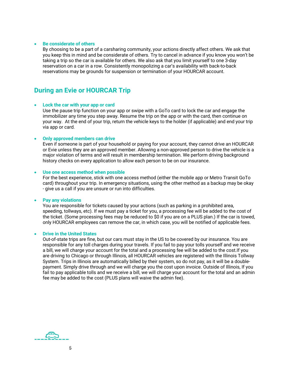#### • **Be considerate of others**

By choosing to be a part of a carsharing community, your actions directly affect others. We ask that you keep this in mind and be considerate of others. Try to cancel in advance if you know you won't be taking a trip so the car is available for others. We also ask that you limit yourself to one 3-day reservation on a car in a row. Consistently monopolizing a car's availability with back-to-back reservations may be grounds for suspension or termination of your HOURCAR account.

## **During an Evie or HOURCAR Trip**

#### • **Lock the car with your app or card**

Use the pause trip function on your app or swipe with a GoTo card to lock the car and engage the immobilizer any time you step away. Resume the trip on the app or with the card, then continue on your way. At the end of your trip, return the vehicle keys to the holder (if applicable) and end your trip via app or card.

#### • **Only approved members can drive**

Even if someone is part of your household or paying for your account, they cannot drive an HOURCAR or Evie unless they are an approved member. Allowing a non-approved person to drive the vehicle is a major violation of terms and will result in membership termination. We perform driving background history checks on every application to allow each person to be on our insurance.

#### • **Use one access method when possible**

For the best experience, stick with one access method (either the mobile app or Metro Transit GoTo card) throughout your trip. In emergency situations, using the other method as a backup may be okay - give us a call if you are unsure or run into difficulties.

#### • **Pay any violations**

You are responsible for tickets caused by your actions (such as parking in a prohibited area, speeding, tollways, etc). If we must pay a ticket for you, a processing fee will be added to the cost of the ticket. (Some processing fees may be reduced to \$0 if you are on a PLUS plan.) If the car is towed, only HOURCAR employees can remove the car, in which case, you will be notified of applicable fees.

#### • **Drive in the United States**

Out-of-state trips are fine, but our cars must stay in the US to be covered by our insurance. You are responsible for any toll charges during your travels. If you fail to pay your tolls yourself and we receive a bill, we will charge your account for the total and a processing fee will be added to the cost.If you are driving to Chicago or through Illinois, all HOURCAR vehicles are registered with the Illinois Tollway System. Trips in Illinois are automatically billed by their system, so do not pay, as it will be a doublepayment. Simply drive through and we will charge you the cost upon invoice. Outside of Illinois, If you fail to pay applicable tolls and we receive a bill, we will charge your account for the total and an admin fee may be added to the cost (PLUS plans will waive the admin fee).

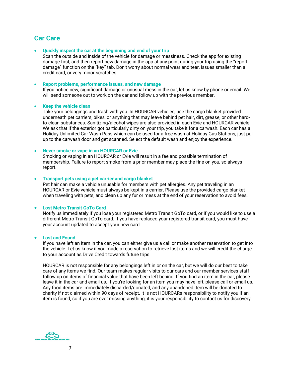## **Car Care**

#### • **Quickly inspect the car at the beginning and end of your trip**

Scan the outside and inside of the vehicle for damage or messiness. Check the app for existing damage first, and then report new damage in the app at any point during your trip using the "report damage" function on the "key" tab. Don't worry about normal wear and tear, issues smaller than a credit card, or very minor scratches.

#### • **Report problems, performance issues, and new damage**

If you notice new, significant damage or unusual mess in the car, let us know by phone or email. We will send someone out to work on the car and follow up with the previous member.

#### • **Keep the vehicle clean**

Take your belongings and trash with you. In HOURCAR vehicles, use the cargo blanket provided underneath pet carriers, bikes, or anything that may leave behind pet hair, dirt, grease, or other hardto-clean substances. Sanitizing/alcohol wipes are also provided in each Evie and HOURCAR vehicle. We ask that if the exterior got particularly dirty on your trip, you take it for a carwash. Each car has a Holiday Unlimited Car Wash Pass which can be used for a free wash at Holiday Gas Stations, just pull up to the carwash door and get scanned. Select the default wash and enjoy the experience.

#### • **Never smoke or vape in an HOURCAR or Evie**

Smoking or vaping in an HOURCAR or Evie will result in a fee and possible termination of membership. Failure to report smoke from a prior member may place the fine on you, so always report.

#### • **Transport pets using a pet carrier and cargo blanket**

Pet hair can make a vehicle unusable for members with pet allergies. Any pet traveling in an HOURCAR or Evie vehicle must always be kept in a carrier. Please use the provided cargo blanket when traveling with pets, and clean up any fur or mess at the end of your reservation to avoid fees.

#### • **Lost Metro Transit GoTo Card**

Notify us immediately if you lose your registered Metro Transit GoTo card, or if you would like to use a different Metro Transit GoTo card. If you have replaced your registered transit card, you must have your account updated to accept your new card.

#### • **Lost and Found**

If you have left an item in the car, you can either give us a call or make another reservation to get into the vehicle. Let us know if you made a reservation to retrieve lost items and we will credit the charge to your account as Drive Credit towards future trips.

HOURCAR is not responsible for any belongings left in or on the car, but we will do our best to take care of any items we find. Our team makes regular visits to our cars and our member services staff follow up on items of financial value that have been left behind. If you find an item in the car, please leave it in the car and email us. If you're looking for an item you may have left, please call or email us. Any food items are immediately discarded/donated, and any abandoned item will be donated to charity if not claimed within 90 days of receipt. It is not HOURCARs responsibility to notify you if an item is found, so if you are ever missing anything, it is your responsibility to contact us for discovery.

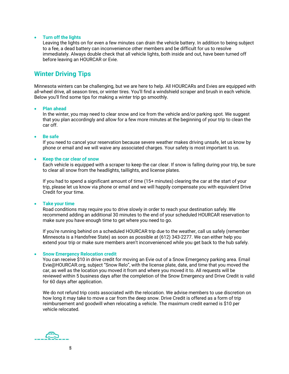#### • **Turn off the lights**

Leaving the lights on for even a few minutes can drain the vehicle battery. In addition to being subject to a fee, a dead battery can inconvenience other members and be difficult for us to resolve immediately. Always double check that all vehicle lights, both inside and out, have been turned off before leaving an HOURCAR or Evie.

## **Winter Driving Tips**

Minnesota winters can be challenging, but we are here to help. All HOURCARs and Evies are equipped with all-wheel drive, all season tires, or winter tires. You'll find a windshield scraper and brush in each vehicle. Below you'll find some tips for making a winter trip go smoothly.

#### • **Plan ahead**

In the winter, you may need to clear snow and ice from the vehicle and/or parking spot. We suggest that you plan accordingly and allow for a few more minutes at the beginning of your trip to clean the car off.

#### • **Be safe**

If you need to cancel your reservation because severe weather makes driving unsafe, let us know by phone or email and we will waive any associated charges. Your safety is most important to us.

#### • **Keep the car clear of snow**

Each vehicle is equipped with a scraper to keep the car clear. If snow is falling during your trip, be sure to clear all snow from the headlights, taillights, and license plates.

If you had to spend a significant amount of time (15+ minutes) clearing the car at the start of your trip, please let us know via phone or email and we will happily compensate you with equivalent Drive Credit for your time.

#### • **Take your time**

Road conditions may require you to drive slowly in order to reach your destination safely. We recommend adding an additional 30 minutes to the end of your scheduled HOURCAR reservation to make sure you have enough time to get where you need to go.

If you're running behind on a scheduled HOURCAR trip due to the weather, call us safely (remember Minnesota is a Handsfree State) as soon as possible at (612) 343-2277. We can either help you extend your trip or make sure members aren't inconvenienced while you get back to the hub safely.

#### • **Snow Emergency Relocation credit**

You can receive \$10 in drive credit for moving an Evie out of a Snow Emergency parking area. Email Evie@HOURCAR.org, subject "Snow Relo", with the license plate, date, and time that you moved the car, as well as the location you moved it from and where you moved it to. All requests will be reviewed within 5 business days after the completion of the Snow Emergency and Drive Credit is valid for 60 days after application.

We do not refund trip costs associated with the relocation. We advise members to use discretion on how long it may take to move a car from the deep snow. Drive Credit is offered as a form of trip reimbursement and goodwill when relocating a vehicle. The maximum credit earned is \$10 per vehicle relocated.

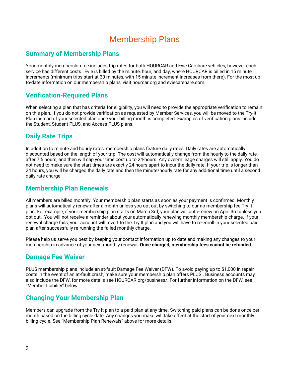# Membership Plans

## **Summary of Membership Plans**

Your monthly membership fee includes trip rates for both HOURCAR and Evie Carshare vehicles, however each service has different costs . Evie is billed by the minute, hour, and day, where HOURCAR is billed in 15 minute increments (minimum trips start at 30 minutes, with 15 minute increment increases from there). For the most upto-date information on our membership plans, visit hourcar.org and eviecarshare.com.

## **Verification-Required Plans**

When selecting a plan that has criteria for eligibility, you will need to provide the appropriate verification to remain on this plan. If you do not provide verification as requested by Member Services, you will be moved to the Try-It Plan instead of your selected plan once your billing month is completed. Examples of verification plans include the Student, Student PLUS, and Access PLUS plans.

## **Daily Rate Trips**

In addition to minute and hourly rates, membership plans feature daily rates. Daily rates are automatically discounted based on the length of your trip. The cost will automatically change from the hourly to the daily rate after 7.5 hours, and then will cap your time cost up to 24-hours. Any over-mileage charges will still apply. You do not need to make sure the start times are exactly 24 hours apart to incur the daily rate. If your trip is longer than 24 hours, you will be charged the daily rate and then the minute/hourly rate for any additional time until a second daily rate charge.

## **Membership Plan Renewals**

All members are billed monthly. Your membership plan starts as soon as your payment is confirmed. Monthly plans will automatically renew after a month unless you opt out by switching to our no membership fee Try It plan. For example, if your membership plan starts on March 3rd, your plan will auto-renew on April 3rd unless you opt out. You will not receive a reminder about your automatically renewing monthly membership charge. If your renewal charge fails, your account will revert to the Try It plan and you will have to re-enroll in your selected paid plan after successfully re-running the failed monthly charge.

Please help us serve you best by keeping your contact information up to date and making any changes to your membership in advance of your next monthly renewal. **Once charged, membership fees cannot be refunded.**

## **Damage Fee Waiver**

PLUS membership plans include an at-fault Damage Fee Waiver (DFW). To avoid paying up to \$1,000 in repair costs in the event of an at-fault crash, make sure your membership plan offers PLUS.. Business accounts may also include the DFW, for more details see HOURCAR.org/business/. For further information on the DFW, see "Member Liability" below.

## **Changing Your Membership Plan**

Members can upgrade from the Try It plan to a paid plan at any time. Switching paid plans can be done once per month based on the billing cycle date. Any changes you make will take effect at the start of your next monthly billing cycle. See "Membership Plan Renewals" above for more details.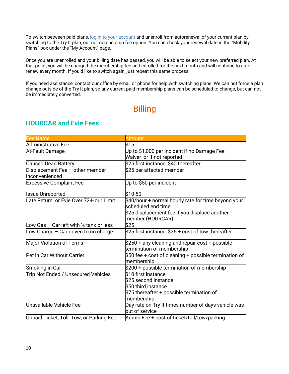To switch between paid plans, log in to your account and unenroll from autorenewal of your current plan by switching to the Try It plan, our no membership fee option. You can check your renewal date in the "Mobility Plans" box under the "My Account" page.

Once you are unenrolled and your billing date has passed, you will be able to select your new preferred plan. At that point, you will be charged the membership fee and enrolled for the next month and will continue to autorenew every month. If you'd like to switch again, just repeat this same process.

If you need assistance, contact our office by email or phone for help with switching plans. We can not force a plan change outside of the Try It plan, so any current paid membership plans can be scheduled to change, but can not be immediately converted.

# Billing

| <b>Fee Name</b>                                      | <b>Amount</b>                                         |
|------------------------------------------------------|-------------------------------------------------------|
| Administrative Fee                                   | \$15                                                  |
| At-Fault Damage                                      | Up to \$1,000 per incident if no Damage Fee           |
|                                                      | Waiver or if not reported                             |
| <b>Caused Dead Battery</b>                           | \$25 first instance, \$40 thereafter                  |
| Displacement Fee - other member                      | \$25 per affected member                              |
| inconvenienced                                       |                                                       |
| <b>Excessive Complaint Fee</b>                       | Up to \$50 per incident                               |
| <b>Issue Unreported</b>                              | \$10-50                                               |
| Late Return or Evie Over 72-Hour Limit               | \$40/hour + normal hourly rate for time beyond your   |
|                                                      | scheduled end time                                    |
|                                                      | \$25 displacement fee if you displace another         |
|                                                      | member (HOURCAR)                                      |
| Low Gas $-$ Car left with $\frac{1}{4}$ tank or less | \$25                                                  |
| Low Charge $-$ Car driven to no charge               | \$25 first instance, \$25 + cost of tow thereafter    |
| Major Violation of Terms                             | \$250 + any cleaning and repair cost + possible       |
|                                                      | termination of membership                             |
| Pet in Car Without Carrier                           | \$50 fee + cost of cleaning + possible termination of |
|                                                      | membership                                            |
| Smoking in Car                                       | \$200 + possible termination of membership            |
| Trip Not Ended / Unsecured Vehicles                  | \$10 first instance                                   |
|                                                      | $\$25$ second instance                                |
|                                                      | $\$50$ third instance                                 |
|                                                      | $$75$ thereafter + possible termination of            |
|                                                      | membership                                            |
| Unavailable Vehicle Fee                              | Day rate on Try It times number of days vehicle was   |
|                                                      | out of service                                        |
| Unpaid Ticket, Toll, Tow, or Parking Fee             | Admin Fee + cost of ticket/toll/tow/parking           |

## **HOURCAR and Evie Fees**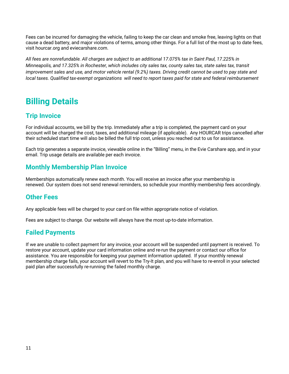Fees can be incurred for damaging the vehicle, failing to keep the car clean and smoke free, leaving lights on that cause a dead battery, and major violations of terms, among other things. For a full list of the most up to date fees, visit hourcar.org and eviecarshare.com.

*All fees are nonrefundable. All charges are subject to an additional 17.075% tax in Saint Paul, 17.225% in Minneapolis, and 17.325% in Rochester, which includes city sales tax, county sales tax, state sales tax, transit improvement sales and use, and motor vehicle rental (9.2%) taxes. Driving credit cannot be used to pay state and local taxes. Qualified tax-exempt organizations will need to report taxes paid for state and federal reimbursement*

# **Billing Details**

## **Trip Invoice**

For individual accounts, we bill by the trip. Immediately after a trip is completed, the payment card on your account will be charged the cost, taxes, and additional mileage (if applicable). Any HOURCAR trips cancelled after their scheduled start time will also be billed the full trip cost, unless you reached out to us for assistance.

Each trip generates a separate invoice, viewable online in the "Billing" menu, in the Evie Carshare app, and in your email. Trip usage details are available per each invoice.

## **Monthly Membership Plan Invoice**

Memberships automatically renew each month. You will receive an invoice after your membership is renewed. Our system does not send renewal reminders, so schedule your monthly membership fees accordingly.

## **Other Fees**

Any applicable fees will be charged to your card on file within appropriate notice of violation.

Fees are subject to change. Our website will always have the most up-to-date information.

## **Failed Payments**

If we are unable to collect payment for any invoice, your account will be suspended until payment is received. To restore your account, update your card information online and re-run the payment or contact our office for assistance. You are responsible for keeping your payment information updated. If your monthly renewal membership charge fails, your account will revert to the Try-It plan, and you will have to re-enroll in your selected paid plan after successfully re-running the failed monthly charge.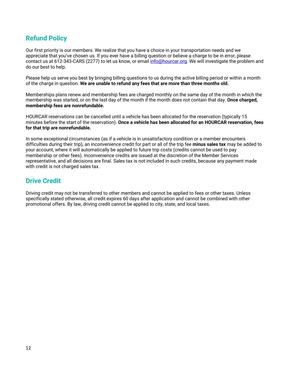## **Refund Policy**

Our first priority is our members. We realize that you have a choice in your transportation needs and we appreciate that you've chosen us. If you ever have a billing question or believe a charge to be in error, please contact us at 612-343-CARS (2277) to let us know, or email info@hourcar.org. We will investigate the problem and do our best to help.

Please help us serve you best by bringing billing questions to us during the active billing period or within a month of the charge in question. **We are unable to refund any fees that are more than three months old.**

Memberships plans renew and membership fees are charged monthly on the same day of the month in which the membership was started, or on the last day of the month if the month does not contain that day. **Once charged, membership fees are nonrefundable.**

HOURCAR reservations can be cancelled until a vehicle has been allocated for the reservation (typically 15 minutes before the start of the reservation). **Once a vehicle has been allocated for an HOURCAR reservation, fees for that trip are nonrefundable.**

In some exceptional circumstances (as if a vehicle is in unsatisfactory condition or a member encounters difficulties during their trip), an inconvenience credit for part or all of the trip fee **minus sales tax** may be added to your account, where it will automatically be applied to future trip costs (credits cannot be used to pay membership or other fees). Inconvenience credits are issued at the discretion of the Member Services representative, and all decisions are final. Sales tax is not included in such credits, because any payment made with credit is not charged sales tax.

## **Drive Credit**

Driving credit may not be transferred to other members and cannot be applied to fees or other taxes. Unless specifically stated otherwise, all credit expires 60 days after application and cannot be combined with other promotional offers. By law, driving credit cannot be applied to city, state, and local taxes.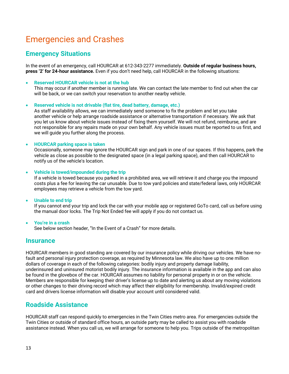# Emergencies and Crashes

## **Emergency Situations**

In the event of an emergency, call HOURCAR at 612-343-2277 immediately. **Outside of regular business hours, press '2' for 24-hour assistance.** Even if you don't need help, call HOURCAR in the following situations:

#### • **Reserved HOURCAR vehicle is not at the hub**

This may occur if another member is running late. We can contact the late member to find out when the car will be back, or we can switch your reservation to another nearby vehicle.

#### • **Reserved vehicle is not drivable (flat tire, dead battery, damage, etc.)**

As staff availability allows, we can immediately send someone to fix the problem and let you take another vehicle or help arrange roadside assistance or alternative transportation if necessary. We ask that you let us know about vehicle issues instead of fixing them yourself. We will not refund, reimburse, and are not responsible for any repairs made on your own behalf. Any vehicle issues must be reported to us first, and we will guide you further along the process.

#### • **HOURCAR parking space is taken**

Occasionally, someone may ignore the HOURCAR sign and park in one of our spaces. If this happens, park the vehicle as close as possible to the designated space (in a legal parking space), and then call HOURCAR to notify us of the vehicle's location.

• **Vehicle is towed/impounded during the trip**

If a vehicle is towed because you parked in a prohibited area, we will retrieve it and charge you the impound costs plus a fee for leaving the car unusable. Due to tow yard policies and state/federal laws, only HOURCAR employees may retrieve a vehicle from the tow yard.

#### • **Unable to end trip**

If you cannot end your trip and lock the car with your mobile app or registered GoTo card, call us before using the manual door locks. The Trip Not Ended fee will apply if you do not contact us.

• **You're in a crash** See below section header, "In the Event of a Crash" for more details.

## **Insurance**

HOURCAR members in good standing are covered by our insurance policy while driving our vehicles. We have nofault and personal injury protection coverage, as required by Minnesota law. We also have up to one million dollars of coverage in each of the following categories: bodily injury and property damage liability, underinsured and uninsured motorist bodily injury. The insurance information is available in the app and can also be found in the glovebox of the car. HOURCAR assumes no liability for personal property in or on the vehicle. Members are responsible for keeping their driver's license up to date and alerting us about any moving violations or other changes to their driving record which may affect their eligibility for membership. Invalid/expired credit card and drivers license information will disable your account until considered valid.

## **Roadside Assistance**

HOURCAR staff can respond quickly to emergencies in the Twin Cities metro area. For emergencies outside the Twin Cities or outside of standard office hours, an outside party may be called to assist you with roadside assistance instead. When you call us, we will arrange for someone to help you. Trips outside of the metropolitan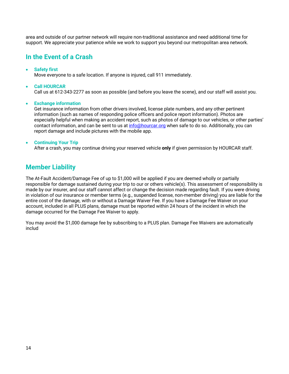area and outside of our partner network will require non-traditional assistance and need additional time for support. We appreciate your patience while we work to support you beyond our metropolitan area network.

## **In the Event of a Crash**

#### • **Safety first**

Move everyone to a safe location. If anyone is injured, call 911 immediately.

#### • **Call HOURCAR**

Call us at 612-343-2277 as soon as possible (and before you leave the scene), and our staff will assist you.

#### • **Exchange information**

Get insurance information from other drivers involved, license plate numbers, and any other pertinent information (such as names of responding police officers and police report information). Photos are especially helpful when making an accident report, such as photos of damage to our vehicles, or other parties' contact information, and can be sent to us at info@hourcar.org when safe to do so. Additionally, you can report damage and include pictures with the mobile app.

#### • **Continuing Your Trip**

After a crash, you may continue driving your reserved vehicle **only** if given permission by HOURCAR staff.

## **Member Liability**

The At-Fault Accident/Damage Fee of up to \$1,000 will be applied if you are deemed wholly or partially responsible for damage sustained during your trip to our or others vehicle(s). This assessment of responsibility is made by our insurer, and our staff cannot affect or change the decision made regarding fault. If you were driving in violation of our insurance or member terms (e.g., suspended license, non-member driving) you are liable for the entire cost of the damage, with or without a Damage Waiver Fee. If you have a Damage Fee Waiver on your account, included in all PLUS plans, damage must be reported within 24 hours of the incident in which the damage occurred for the Damage Fee Waiver to apply.

You may avoid the \$1,000 damage fee by subscribing to a PLUS plan. Damage Fee Waivers are automatically includ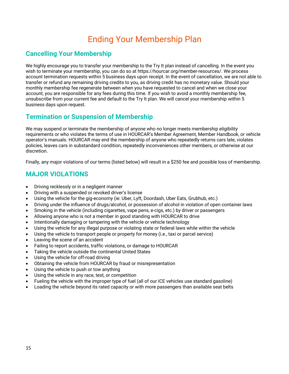# Ending Your Membership Plan

## **Cancelling Your Membership**

We highly encourage you to transfer your membership to the Try It plan instead of cancelling. In the event you wish to terminate your membership, you can do so at https://hourcar.org/member-resources/. We process account termination requests within 5 business days upon receipt. In the event of cancellation, we are not able to transfer or refund any remaining driving credits to you, as driving credit has no monetary value. Should your monthly membership fee regenerate between when you have requested to cancel and when we close your account, you are responsible for any fees during this time. If you wish to avoid a monthly membership fee, unsubscribe from your current fee and default to the Try It plan. We will cancel your membership within 5 business days upon request.

## **Termination or Suspension of Membership**

We may suspend or terminate the membership of anyone who no longer meets membership eligibility requirements or who violates the terms of use in HOURCAR's Member Agreement, Member Handbook, or vehicle operator's manuals. HOURCAR may end the membership of anyone who repeatedly returns cars late, violates policies, leaves cars in substandard condition, repeatedly inconveniences other members, or otherwise at our discretion.

Finally, any major violations of our terms (listed below) will result in a \$250 fee and possible loss of membership.

## **MAJOR VIOLATIONS**

- Driving recklessly or in a negligent manner
- Driving with a suspended or revoked driver's license
- Using the vehicle for the gig-economy (ie: Uber, Lyft, Doordash, Uber Eats, Grubhub, etc.)
- Driving under the influence of drugs/alcohol, or possession of alcohol in violation of open container laws
- Smoking in the vehicle (including cigarettes, vape pens, e-cigs, etc.) by driver or passengers
- Allowing anyone who is not a member in good standing with HOURCAR to drive
- Intentionally damaging or tampering with the vehicle or vehicle technology
- Using the vehicle for any illegal purpose or violating state or federal laws while within the vehicle
- Using the vehicle to transport people or property for money (i.e., taxi or parcel service)
- Leaving the scene of an accident
- Failing to report accidents, traffic violations, or damage to HOURCAR
- Taking the vehicle outside the continental United States
- Using the vehicle for off-road driving
- Obtaining the vehicle from HOURCAR by fraud or misrepresentation
- Using the vehicle to push or tow anything
- Using the vehicle in any race, test, or competition
- Fueling the vehicle with the improper type of fuel (all of our ICE vehicles use standard gasoline)
- Loading the vehicle beyond its rated capacity or with more passengers than available seat belts